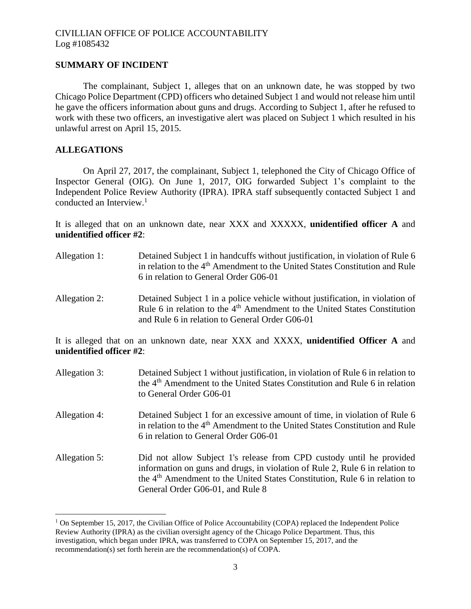# **SUMMARY OF INCIDENT**

The complainant, Subject 1, alleges that on an unknown date, he was stopped by two Chicago Police Department (CPD) officers who detained Subject 1 and would not release him until he gave the officers information about guns and drugs. According to Subject 1, after he refused to work with these two officers, an investigative alert was placed on Subject 1 which resulted in his unlawful arrest on April 15, 2015.

# **ALLEGATIONS**

 $\overline{a}$ 

On April 27, 2017, the complainant, Subject 1, telephoned the City of Chicago Office of Inspector General (OIG). On June 1, 2017, OIG forwarded Subject 1's complaint to the Independent Police Review Authority (IPRA). IPRA staff subsequently contacted Subject 1 and conducted an Interview.<sup>1</sup>

It is alleged that on an unknown date, near XXX and XXXXX, **unidentified officer A** and **unidentified officer #2**:

- Allegation 1: Detained Subject 1 in handcuffs without justification, in violation of Rule 6 in relation to the 4<sup>th</sup> Amendment to the United States Constitution and Rule 6 in relation to General Order G06-01
- Allegation 2: Detained Subject 1 in a police vehicle without justification, in violation of Rule 6 in relation to the 4<sup>th</sup> Amendment to the United States Constitution and Rule 6 in relation to General Order G06-01

It is alleged that on an unknown date, near XXX and XXXX, **unidentified Officer A** and **unidentified officer #2**:

Allegation 3: Detained Subject 1 without justification, in violation of Rule 6 in relation to the 4th Amendment to the United States Constitution and Rule 6 in relation to General Order G06-01 Allegation 4: Detained Subject 1 for an excessive amount of time, in violation of Rule 6 in relation to the 4<sup>th</sup> Amendment to the United States Constitution and Rule 6 in relation to General Order G06-01 Allegation 5: Did not allow Subject 1's release from CPD custody until he provided information on guns and drugs, in violation of Rule 2, Rule 6 in relation to the 4th Amendment to the United States Constitution, Rule 6 in relation to General Order G06-01, and Rule 8

 $1$  On September 15, 2017, the Civilian Office of Police Accountability (COPA) replaced the Independent Police Review Authority (IPRA) as the civilian oversight agency of the Chicago Police Department. Thus, this investigation, which began under IPRA, was transferred to COPA on September 15, 2017, and the recommendation(s) set forth herein are the recommendation(s) of COPA.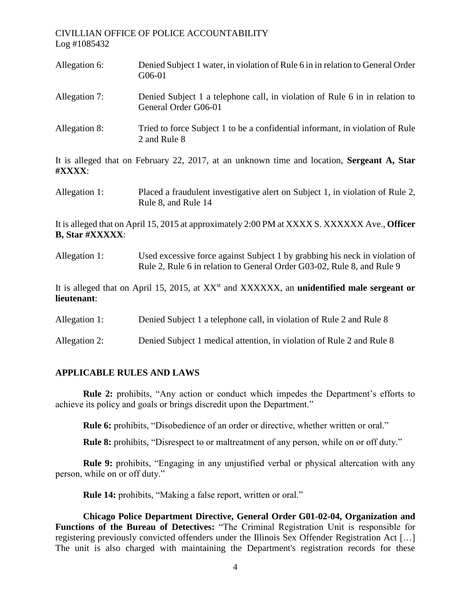| Allegation 6:          | Denied Subject 1 water, in violation of Rule 6 in in relation to General Order<br>G06-01                                                              |
|------------------------|-------------------------------------------------------------------------------------------------------------------------------------------------------|
| Allegation 7:          | Denied Subject 1 a telephone call, in violation of Rule 6 in in relation to<br>General Order G06-01                                                   |
| Allegation 8:          | Tried to force Subject 1 to be a confidential informant, in violation of Rule<br>2 and Rule 8                                                         |
| #XXXX:                 | It is alleged that on February 22, 2017, at an unknown time and location, Sergeant A, Star                                                            |
| Allegation 1:          | Placed a fraudulent investigative alert on Subject 1, in violation of Rule 2,<br>Rule 8, and Rule 14                                                  |
| <b>B, Star #XXXXX:</b> | It is alleged that on April 15, 2015 at approximately 2:00 PM at XXXX S. XXXXXX Ave., Officer                                                         |
| Allegation 1:          | Used excessive force against Subject 1 by grabbing his neck in violation of<br>Rule 2, Rule 6 in relation to General Order G03-02, Rule 8, and Rule 9 |
| lieutenant:            | It is alleged that on April 15, 2015, at XX <sup>st</sup> and XXXXXX, an <b>unidentified male sergeant or</b>                                         |
| Allegation 1:          | Denied Subject 1 a telephone call, in violation of Rule 2 and Rule 8                                                                                  |
| Allegation 2:          | Denied Subject 1 medical attention, in violation of Rule 2 and Rule 8                                                                                 |

# **APPLICABLE RULES AND LAWS**

**Rule 2:** prohibits, "Any action or conduct which impedes the Department's efforts to achieve its policy and goals or brings discredit upon the Department."

**Rule 6:** prohibits, "Disobedience of an order or directive, whether written or oral."

**Rule 8:** prohibits, "Disrespect to or maltreatment of any person, while on or off duty."

**Rule 9:** prohibits, "Engaging in any unjustified verbal or physical altercation with any person, while on or off duty."

**Rule 14:** prohibits, "Making a false report, written or oral."

**Chicago Police Department Directive, General Order G01-02-04, Organization and Functions of the Bureau of Detectives:** "The Criminal Registration Unit is responsible for registering previously convicted offenders under the Illinois Sex Offender Registration Act […] The unit is also charged with maintaining the Department's registration records for these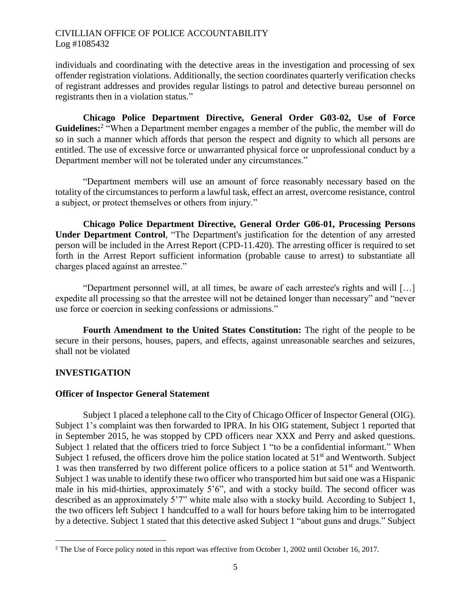individuals and coordinating with the detective areas in the investigation and processing of sex offender registration violations. Additionally, the section coordinates quarterly verification checks of registrant addresses and provides regular listings to patrol and detective bureau personnel on registrants then in a violation status."

**Chicago Police Department Directive, General Order G03-02, Use of Force**  Guidelines:<sup>2</sup> "When a Department member engages a member of the public, the member will do so in such a manner which affords that person the respect and dignity to which all persons are entitled. The use of excessive force or unwarranted physical force or unprofessional conduct by a Department member will not be tolerated under any circumstances."

"Department members will use an amount of force reasonably necessary based on the totality of the circumstances to perform a lawful task, effect an arrest, overcome resistance, control a subject, or protect themselves or others from injury."

**Chicago Police Department Directive, General Order G06-01, Processing Persons Under Department Control**, "The Department's justification for the detention of any arrested person will be included in the Arrest Report (CPD-11.420). The arresting officer is required to set forth in the Arrest Report sufficient information (probable cause to arrest) to substantiate all charges placed against an arrestee."

"Department personnel will, at all times, be aware of each arrestee's rights and will […] expedite all processing so that the arrestee will not be detained longer than necessary" and "never use force or coercion in seeking confessions or admissions."

**Fourth Amendment to the United States Constitution:** The right of the people to be secure in their persons, houses, papers, and effects, against unreasonable searches and seizures, shall not be violated

# **INVESTIGATION**

 $\overline{\phantom{a}}$ 

# **Officer of Inspector General Statement**

Subject 1 placed a telephone call to the City of Chicago Officer of Inspector General (OIG). Subject 1's complaint was then forwarded to IPRA. In his OIG statement, Subject 1 reported that in September 2015, he was stopped by CPD officers near XXX and Perry and asked questions. Subject 1 related that the officers tried to force Subject 1 "to be a confidential informant." When Subject 1 refused, the officers drove him the police station located at  $51<sup>st</sup>$  and Wentworth. Subject 1 was then transferred by two different police officers to a police station at  $51<sup>st</sup>$  and Wentworth. Subject 1 was unable to identify these two officer who transported him but said one was a Hispanic male in his mid-thirties, approximately 5'6", and with a stocky build. The second officer was described as an approximately 5'7" white male also with a stocky build. According to Subject 1, the two officers left Subject 1 handcuffed to a wall for hours before taking him to be interrogated by a detective. Subject 1 stated that this detective asked Subject 1 "about guns and drugs." Subject

<sup>&</sup>lt;sup>2</sup> The Use of Force policy noted in this report was effective from October 1, 2002 until October 16, 2017.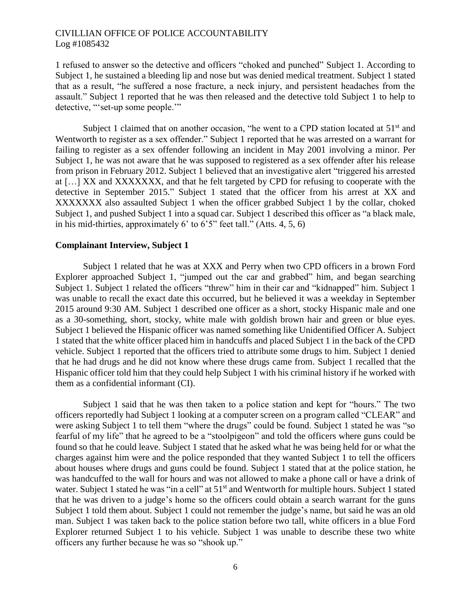1 refused to answer so the detective and officers "choked and punched" Subject 1. According to Subject 1, he sustained a bleeding lip and nose but was denied medical treatment. Subject 1 stated that as a result, "he suffered a nose fracture, a neck injury, and persistent headaches from the assault." Subject 1 reported that he was then released and the detective told Subject 1 to help to detective, "'set-up some people.'"

Subject 1 claimed that on another occasion, "he went to a CPD station located at  $51<sup>st</sup>$  and Wentworth to register as a sex offender." Subject 1 reported that he was arrested on a warrant for failing to register as a sex offender following an incident in May 2001 involving a minor. Per Subject 1, he was not aware that he was supposed to registered as a sex offender after his release from prison in February 2012. Subject 1 believed that an investigative alert "triggered his arrested at […] XX and XXXXXXX, and that he felt targeted by CPD for refusing to cooperate with the detective in September 2015." Subject 1 stated that the officer from his arrest at XX and XXXXXXX also assaulted Subject 1 when the officer grabbed Subject 1 by the collar, choked Subject 1, and pushed Subject 1 into a squad car. Subject 1 described this officer as "a black male, in his mid-thirties, approximately  $6'$  to  $6'5''$  feet tall." (Atts. 4, 5, 6)

#### **Complainant Interview, Subject 1**

Subject 1 related that he was at XXX and Perry when two CPD officers in a brown Ford Explorer approached Subject 1, "jumped out the car and grabbed" him, and began searching Subject 1. Subject 1 related the officers "threw" him in their car and "kidnapped" him. Subject 1 was unable to recall the exact date this occurred, but he believed it was a weekday in September 2015 around 9:30 AM. Subject 1 described one officer as a short, stocky Hispanic male and one as a 30-something, short, stocky, white male with goldish brown hair and green or blue eyes. Subject 1 believed the Hispanic officer was named something like Unidentified Officer A. Subject 1 stated that the white officer placed him in handcuffs and placed Subject 1 in the back of the CPD vehicle. Subject 1 reported that the officers tried to attribute some drugs to him. Subject 1 denied that he had drugs and he did not know where these drugs came from. Subject 1 recalled that the Hispanic officer told him that they could help Subject 1 with his criminal history if he worked with them as a confidential informant (CI).

Subject 1 said that he was then taken to a police station and kept for "hours." The two officers reportedly had Subject 1 looking at a computer screen on a program called "CLEAR" and were asking Subject 1 to tell them "where the drugs" could be found. Subject 1 stated he was "so fearful of my life" that he agreed to be a "stoolpigeon" and told the officers where guns could be found so that he could leave. Subject 1 stated that he asked what he was being held for or what the charges against him were and the police responded that they wanted Subject 1 to tell the officers about houses where drugs and guns could be found. Subject 1 stated that at the police station, he was handcuffed to the wall for hours and was not allowed to make a phone call or have a drink of water. Subject 1 stated he was "in a cell" at 51<sup>st</sup> and Wentworth for multiple hours. Subject 1 stated that he was driven to a judge's home so the officers could obtain a search warrant for the guns Subject 1 told them about. Subject 1 could not remember the judge's name, but said he was an old man. Subject 1 was taken back to the police station before two tall, white officers in a blue Ford Explorer returned Subject 1 to his vehicle. Subject 1 was unable to describe these two white officers any further because he was so "shook up."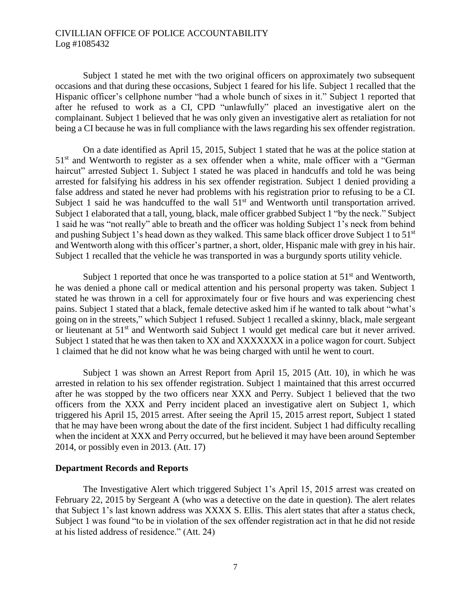Subject 1 stated he met with the two original officers on approximately two subsequent occasions and that during these occasions, Subject 1 feared for his life. Subject 1 recalled that the Hispanic officer's cellphone number "had a whole bunch of sixes in it." Subject 1 reported that after he refused to work as a CI, CPD "unlawfully" placed an investigative alert on the complainant. Subject 1 believed that he was only given an investigative alert as retaliation for not being a CI because he was in full compliance with the laws regarding his sex offender registration.

On a date identified as April 15, 2015, Subject 1 stated that he was at the police station at  $51<sup>st</sup>$  and Wentworth to register as a sex offender when a white, male officer with a "German" haircut" arrested Subject 1. Subject 1 stated he was placed in handcuffs and told he was being arrested for falsifying his address in his sex offender registration. Subject 1 denied providing a false address and stated he never had problems with his registration prior to refusing to be a CI. Subject 1 said he was handcuffed to the wall  $51<sup>st</sup>$  and Wentworth until transportation arrived. Subject 1 elaborated that a tall, young, black, male officer grabbed Subject 1 "by the neck." Subject 1 said he was "not really" able to breath and the officer was holding Subject 1's neck from behind and pushing Subject 1's head down as they walked. This same black officer drove Subject 1 to 51<sup>st</sup> and Wentworth along with this officer's partner, a short, older, Hispanic male with grey in his hair. Subject 1 recalled that the vehicle he was transported in was a burgundy sports utility vehicle.

Subject 1 reported that once he was transported to a police station at  $51<sup>st</sup>$  and Wentworth, he was denied a phone call or medical attention and his personal property was taken. Subject 1 stated he was thrown in a cell for approximately four or five hours and was experiencing chest pains. Subject 1 stated that a black, female detective asked him if he wanted to talk about "what's going on in the streets," which Subject 1 refused. Subject 1 recalled a skinny, black, male sergeant or lieutenant at 51<sup>st</sup> and Wentworth said Subject 1 would get medical care but it never arrived. Subject 1 stated that he was then taken to XX and XXXXXXX in a police wagon for court. Subject 1 claimed that he did not know what he was being charged with until he went to court.

Subject 1 was shown an Arrest Report from April 15, 2015 (Att. 10), in which he was arrested in relation to his sex offender registration. Subject 1 maintained that this arrest occurred after he was stopped by the two officers near XXX and Perry. Subject 1 believed that the two officers from the XXX and Perry incident placed an investigative alert on Subject 1, which triggered his April 15, 2015 arrest. After seeing the April 15, 2015 arrest report, Subject 1 stated that he may have been wrong about the date of the first incident. Subject 1 had difficulty recalling when the incident at XXX and Perry occurred, but he believed it may have been around September 2014, or possibly even in 2013. (Att. 17)

#### **Department Records and Reports**

The Investigative Alert which triggered Subject 1's April 15, 2015 arrest was created on February 22, 2015 by Sergeant A (who was a detective on the date in question). The alert relates that Subject 1's last known address was XXXX S. Ellis. This alert states that after a status check, Subject 1 was found "to be in violation of the sex offender registration act in that he did not reside at his listed address of residence." (Att. 24)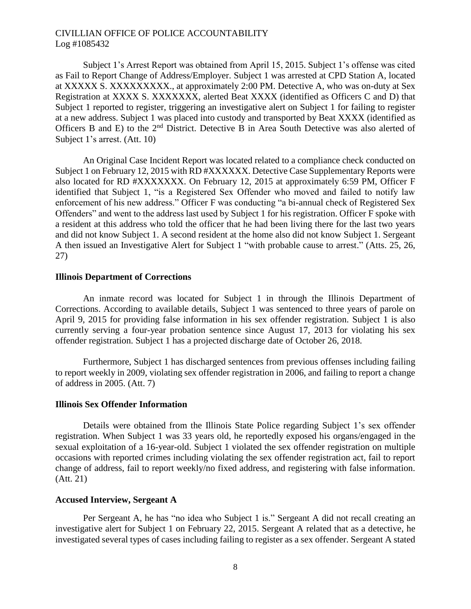Subject 1's Arrest Report was obtained from April 15, 2015. Subject 1's offense was cited as Fail to Report Change of Address/Employer. Subject 1 was arrested at CPD Station A, located at XXXXX S. XXXXXXXXX., at approximately 2:00 PM. Detective A, who was on-duty at Sex Registration at XXXX S. XXXXXXX, alerted Beat XXXX (identified as Officers C and D) that Subject 1 reported to register, triggering an investigative alert on Subject 1 for failing to register at a new address. Subject 1 was placed into custody and transported by Beat XXXX (identified as Officers B and E) to the  $2<sup>nd</sup>$  District. Detective B in Area South Detective was also alerted of Subject 1's arrest. (Att. 10)

An Original Case Incident Report was located related to a compliance check conducted on Subject 1 on February 12, 2015 with RD #XXXXXX. Detective Case Supplementary Reports were also located for RD #XXXXXXX. On February 12, 2015 at approximately 6:59 PM, Officer F identified that Subject 1, "is a Registered Sex Offender who moved and failed to notify law enforcement of his new address." Officer F was conducting "a bi-annual check of Registered Sex Offenders" and went to the address last used by Subject 1 for his registration. Officer F spoke with a resident at this address who told the officer that he had been living there for the last two years and did not know Subject 1. A second resident at the home also did not know Subject 1. Sergeant A then issued an Investigative Alert for Subject 1 "with probable cause to arrest." (Atts. 25, 26, 27)

#### **Illinois Department of Corrections**

An inmate record was located for Subject 1 in through the Illinois Department of Corrections. According to available details, Subject 1 was sentenced to three years of parole on April 9, 2015 for providing false information in his sex offender registration. Subject 1 is also currently serving a four-year probation sentence since August 17, 2013 for violating his sex offender registration. Subject 1 has a projected discharge date of October 26, 2018.

Furthermore, Subject 1 has discharged sentences from previous offenses including failing to report weekly in 2009, violating sex offender registration in 2006, and failing to report a change of address in 2005. (Att. 7)

#### **Illinois Sex Offender Information**

Details were obtained from the Illinois State Police regarding Subject 1's sex offender registration. When Subject 1 was 33 years old, he reportedly exposed his organs/engaged in the sexual exploitation of a 16-year-old. Subject 1 violated the sex offender registration on multiple occasions with reported crimes including violating the sex offender registration act, fail to report change of address, fail to report weekly/no fixed address, and registering with false information. (Att. 21)

# **Accused Interview, Sergeant A**

Per Sergeant A, he has "no idea who Subject 1 is." Sergeant A did not recall creating an investigative alert for Subject 1 on February 22, 2015. Sergeant A related that as a detective, he investigated several types of cases including failing to register as a sex offender. Sergeant A stated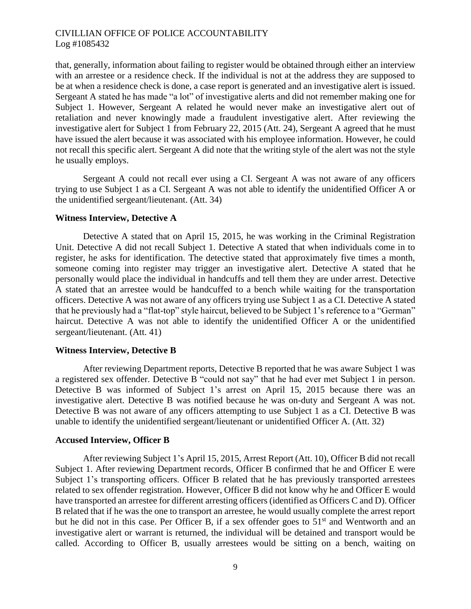that, generally, information about failing to register would be obtained through either an interview with an arrestee or a residence check. If the individual is not at the address they are supposed to be at when a residence check is done, a case report is generated and an investigative alert is issued. Sergeant A stated he has made "a lot" of investigative alerts and did not remember making one for Subject 1. However, Sergeant A related he would never make an investigative alert out of retaliation and never knowingly made a fraudulent investigative alert. After reviewing the investigative alert for Subject 1 from February 22, 2015 (Att. 24), Sergeant A agreed that he must have issued the alert because it was associated with his employee information. However, he could not recall this specific alert. Sergeant A did note that the writing style of the alert was not the style he usually employs.

Sergeant A could not recall ever using a CI. Sergeant A was not aware of any officers trying to use Subject 1 as a CI. Sergeant A was not able to identify the unidentified Officer A or the unidentified sergeant/lieutenant. (Att. 34)

#### **Witness Interview, Detective A**

Detective A stated that on April 15, 2015, he was working in the Criminal Registration Unit. Detective A did not recall Subject 1. Detective A stated that when individuals come in to register, he asks for identification. The detective stated that approximately five times a month, someone coming into register may trigger an investigative alert. Detective A stated that he personally would place the individual in handcuffs and tell them they are under arrest. Detective A stated that an arrestee would be handcuffed to a bench while waiting for the transportation officers. Detective A was not aware of any officers trying use Subject 1 as a CI. Detective A stated that he previously had a "flat-top" style haircut, believed to be Subject 1's reference to a "German" haircut. Detective A was not able to identify the unidentified Officer A or the unidentified sergeant/lieutenant. (Att. 41)

#### **Witness Interview, Detective B**

After reviewing Department reports, Detective B reported that he was aware Subject 1 was a registered sex offender. Detective B "could not say" that he had ever met Subject 1 in person. Detective B was informed of Subject 1's arrest on April 15, 2015 because there was an investigative alert. Detective B was notified because he was on-duty and Sergeant A was not. Detective B was not aware of any officers attempting to use Subject 1 as a CI. Detective B was unable to identify the unidentified sergeant/lieutenant or unidentified Officer A. (Att. 32)

#### **Accused Interview, Officer B**

After reviewing Subject 1's April 15, 2015, Arrest Report (Att. 10), Officer B did not recall Subject 1. After reviewing Department records, Officer B confirmed that he and Officer E were Subject 1's transporting officers. Officer B related that he has previously transported arrestees related to sex offender registration. However, Officer B did not know why he and Officer E would have transported an arrestee for different arresting officers (identified as Officers C and D). Officer B related that if he was the one to transport an arrestee, he would usually complete the arrest report but he did not in this case. Per Officer B, if a sex offender goes to 51<sup>st</sup> and Wentworth and an investigative alert or warrant is returned, the individual will be detained and transport would be called. According to Officer B, usually arrestees would be sitting on a bench, waiting on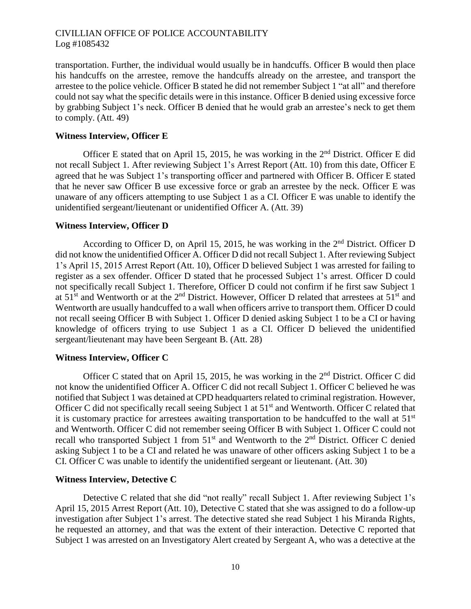transportation. Further, the individual would usually be in handcuffs. Officer B would then place his handcuffs on the arrestee, remove the handcuffs already on the arrestee, and transport the arrestee to the police vehicle. Officer B stated he did not remember Subject 1 "at all" and therefore could not say what the specific details were in this instance. Officer B denied using excessive force by grabbing Subject 1's neck. Officer B denied that he would grab an arrestee's neck to get them to comply. (Att. 49)

### **Witness Interview, Officer E**

Officer E stated that on April 15, 2015, he was working in the  $2<sup>nd</sup>$  District. Officer E did not recall Subject 1. After reviewing Subject 1's Arrest Report (Att. 10) from this date, Officer E agreed that he was Subject 1's transporting officer and partnered with Officer B. Officer E stated that he never saw Officer B use excessive force or grab an arrestee by the neck. Officer E was unaware of any officers attempting to use Subject 1 as a CI. Officer E was unable to identify the unidentified sergeant/lieutenant or unidentified Officer A. (Att. 39)

### **Witness Interview, Officer D**

According to Officer D, on April 15, 2015, he was working in the 2<sup>nd</sup> District. Officer D did not know the unidentified Officer A. Officer D did not recall Subject 1. After reviewing Subject 1's April 15, 2015 Arrest Report (Att. 10), Officer D believed Subject 1 was arrested for failing to register as a sex offender. Officer D stated that he processed Subject 1's arrest. Officer D could not specifically recall Subject 1. Therefore, Officer D could not confirm if he first saw Subject 1 at  $51<sup>st</sup>$  and Wentworth or at the 2<sup>nd</sup> District. However, Officer D related that arrestees at  $51<sup>st</sup>$  and Wentworth are usually handcuffed to a wall when officers arrive to transport them. Officer D could not recall seeing Officer B with Subject 1. Officer D denied asking Subject 1 to be a CI or having knowledge of officers trying to use Subject 1 as a CI. Officer D believed the unidentified sergeant/lieutenant may have been Sergeant B. (Att. 28)

#### **Witness Interview, Officer C**

Officer C stated that on April 15, 2015, he was working in the 2<sup>nd</sup> District. Officer C did not know the unidentified Officer A. Officer C did not recall Subject 1. Officer C believed he was notified that Subject 1 was detained at CPD headquarters related to criminal registration. However, Officer C did not specifically recall seeing Subject 1 at  $51<sup>st</sup>$  and Wentworth. Officer C related that it is customary practice for arrestees awaiting transportation to be handcuffed to the wall at  $51<sup>st</sup>$ and Wentworth. Officer C did not remember seeing Officer B with Subject 1. Officer C could not recall who transported Subject 1 from  $51<sup>st</sup>$  and Wentworth to the  $2<sup>nd</sup>$  District. Officer C denied asking Subject 1 to be a CI and related he was unaware of other officers asking Subject 1 to be a CI. Officer C was unable to identify the unidentified sergeant or lieutenant. (Att. 30)

### **Witness Interview, Detective C**

Detective C related that she did "not really" recall Subject 1. After reviewing Subject 1's April 15, 2015 Arrest Report (Att. 10), Detective C stated that she was assigned to do a follow-up investigation after Subject 1's arrest. The detective stated she read Subject 1 his Miranda Rights, he requested an attorney, and that was the extent of their interaction. Detective C reported that Subject 1 was arrested on an Investigatory Alert created by Sergeant A, who was a detective at the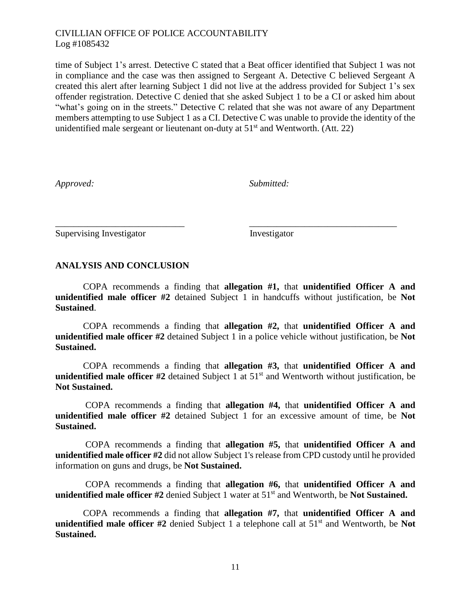time of Subject 1's arrest. Detective C stated that a Beat officer identified that Subject 1 was not in compliance and the case was then assigned to Sergeant A. Detective C believed Sergeant A created this alert after learning Subject 1 did not live at the address provided for Subject 1's sex offender registration. Detective C denied that she asked Subject 1 to be a CI or asked him about "what's going on in the streets." Detective C related that she was not aware of any Department members attempting to use Subject 1 as a CI. Detective C was unable to provide the identity of the unidentified male sergeant or lieutenant on-duty at  $51<sup>st</sup>$  and Wentworth. (Att. 22)

*Approved: Submitted:*

Supervising Investigator Investigator

# **ANALYSIS AND CONCLUSION**

COPA recommends a finding that **allegation #1,** that **unidentified Officer A and unidentified male officer #2** detained Subject 1 in handcuffs without justification, be **Not Sustained**.

\_\_\_\_\_\_\_\_\_\_\_\_\_\_\_\_\_\_\_\_\_\_\_\_\_\_\_\_ \_\_\_\_\_\_\_\_\_\_\_\_\_\_\_\_\_\_\_\_\_\_\_\_\_\_\_\_\_\_\_\_

COPA recommends a finding that **allegation #2,** that **unidentified Officer A and unidentified male officer #2** detained Subject 1 in a police vehicle without justification, be **Not Sustained.**

COPA recommends a finding that **allegation #3,** that **unidentified Officer A and unidentified male officer #2** detained Subject 1 at 51<sup>st</sup> and Wentworth without justification, be **Not Sustained.**

COPA recommends a finding that **allegation #4,** that **unidentified Officer A and unidentified male officer #2** detained Subject 1 for an excessive amount of time, be **Not Sustained.**

COPA recommends a finding that **allegation #5,** that **unidentified Officer A and unidentified male officer #2** did not allow Subject 1's release from CPD custody until he provided information on guns and drugs, be **Not Sustained.**

COPA recommends a finding that **allegation #6,** that **unidentified Officer A and unidentified male officer #2** denied Subject 1 water at 51st and Wentworth, be **Not Sustained.**

COPA recommends a finding that **allegation #7,** that **unidentified Officer A and unidentified male officer** #2 denied Subject 1 a telephone call at 51<sup>st</sup> and Wentworth, be Not **Sustained.**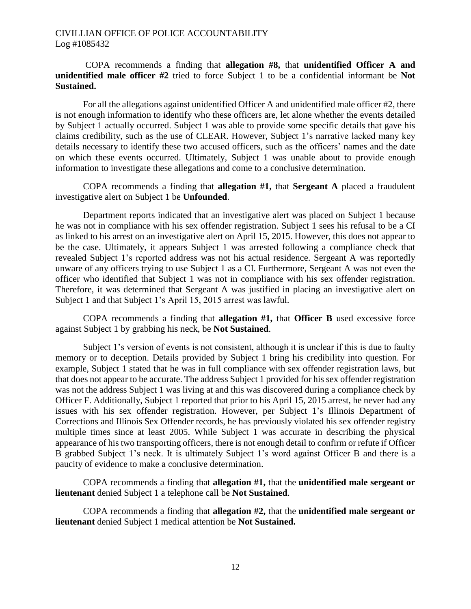COPA recommends a finding that **allegation #8,** that **unidentified Officer A and unidentified male officer #2** tried to force Subject 1 to be a confidential informant be **Not Sustained.**

For all the allegations against unidentified Officer A and unidentified male officer #2, there is not enough information to identify who these officers are, let alone whether the events detailed by Subject 1 actually occurred. Subject 1 was able to provide some specific details that gave his claims credibility, such as the use of CLEAR. However, Subject 1's narrative lacked many key details necessary to identify these two accused officers, such as the officers' names and the date on which these events occurred. Ultimately, Subject 1 was unable about to provide enough information to investigate these allegations and come to a conclusive determination.

COPA recommends a finding that **allegation #1,** that **Sergeant A** placed a fraudulent investigative alert on Subject 1 be **Unfounded**.

Department reports indicated that an investigative alert was placed on Subject 1 because he was not in compliance with his sex offender registration. Subject 1 sees his refusal to be a CI as linked to his arrest on an investigative alert on April 15, 2015. However, this does not appear to be the case. Ultimately, it appears Subject 1 was arrested following a compliance check that revealed Subject 1's reported address was not his actual residence. Sergeant A was reportedly unware of any officers trying to use Subject 1 as a CI. Furthermore, Sergeant A was not even the officer who identified that Subject 1 was not in compliance with his sex offender registration. Therefore, it was determined that Sergeant A was justified in placing an investigative alert on Subject 1 and that Subject 1's April 15, 2015 arrest was lawful.

COPA recommends a finding that **allegation #1,** that **Officer B** used excessive force against Subject 1 by grabbing his neck, be **Not Sustained**.

Subject 1's version of events is not consistent, although it is unclear if this is due to faulty memory or to deception. Details provided by Subject 1 bring his credibility into question. For example, Subject 1 stated that he was in full compliance with sex offender registration laws, but that does not appear to be accurate. The address Subject 1 provided for his sex offender registration was not the address Subject 1 was living at and this was discovered during a compliance check by Officer F. Additionally, Subject 1 reported that prior to his April 15, 2015 arrest, he never had any issues with his sex offender registration. However, per Subject 1's Illinois Department of Corrections and Illinois Sex Offender records, he has previously violated his sex offender registry multiple times since at least 2005. While Subject 1 was accurate in describing the physical appearance of his two transporting officers, there is not enough detail to confirm or refute if Officer B grabbed Subject 1's neck. It is ultimately Subject 1's word against Officer B and there is a paucity of evidence to make a conclusive determination.

COPA recommends a finding that **allegation #1,** that the **unidentified male sergeant or lieutenant** denied Subject 1 a telephone call be **Not Sustained**.

COPA recommends a finding that **allegation #2,** that the **unidentified male sergeant or lieutenant** denied Subject 1 medical attention be **Not Sustained.**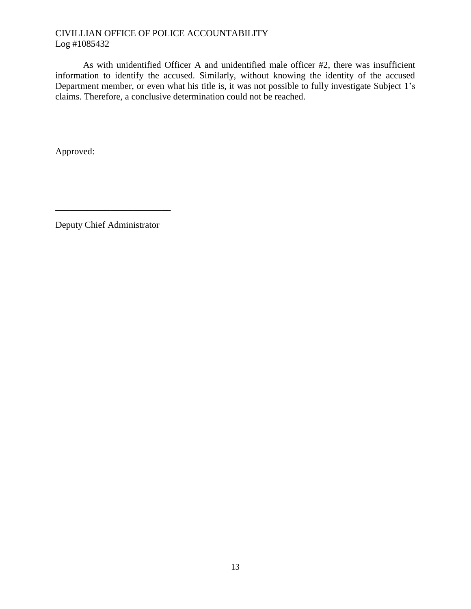As with unidentified Officer A and unidentified male officer #2, there was insufficient information to identify the accused. Similarly, without knowing the identity of the accused Department member, or even what his title is, it was not possible to fully investigate Subject 1's claims. Therefore, a conclusive determination could not be reached.

Approved:

Deputy Chief Administrator

\_\_\_\_\_\_\_\_\_\_\_\_\_\_\_\_\_\_\_\_\_\_\_\_\_